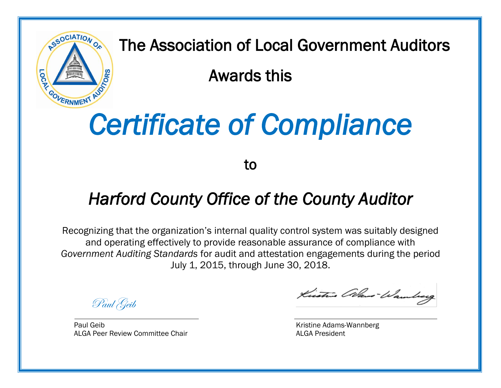

The Association of Local Government Auditors

Awards this

## *Certificate of Compliance*

to

## *Harford County Office of the County Auditor*

Recognizing that the organization's internal quality control system was suitably designed and operating effectively to provide reasonable assurance of compliance with *Government Auditing Standards* for audit and attestation engagements during the period July 1, 2015, through June 30, 2018.

Paul Geib

Paul Geib **Kristine Adams-Wannberg Caucasia** Kristine Adams-Wannberg ALGA Peer Review Committee Chair **ALGA President** ALGA President

Kistrie alkus Wamberg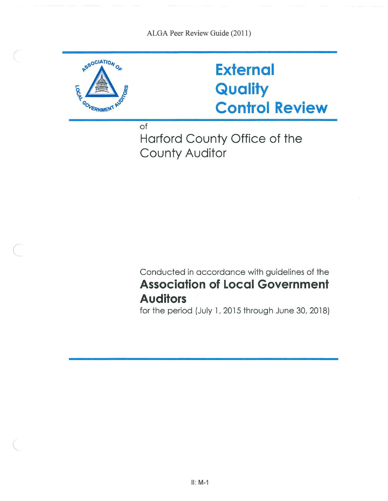

 $\big($ 

\..

## **External Quality Control Review**

of

Harford County Office of the County Auditor

Conducted in accordance with guidelines of the **Association of Local Government Auditors** 

for the period (July 1, 2015 through June 30, 2018)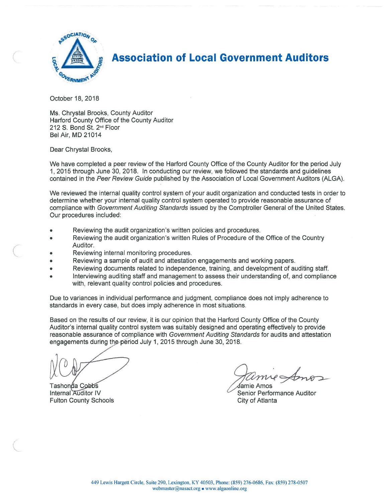

**Association of Local Government Auditors** 

October 18, 2018

Ms. Chrystal Brooks, County Auditor Harford County Office of the County Auditor 212 S. Bond St. 2nd Floor Bel Air, MD 21014

Dear Chrystal Brooks,

 $\big($ 

(  $\sqrt{2}$  We have completed a peer review of the Harford County Office of the County Auditor for the period July 1, 2015 through June 30, 2018. In conducting our review, we followed the standards and guidelines contained in the Peer Review Guide published by the Association of Local Government Auditors (ALGA).

We reviewed the internal quality control system of your audit organization and conducted tests in order to determine whether your internal quality control system operated to provide reasonable assurance of compliance with Government Auditing Standards issued by the Comptroller General of the United States. Our procedures included:

- Reviewing the audit organization's written policies and procedures .
- Reviewing the audit organization's written Rules of Procedure of the Office of the Country Auditor.
- Reviewing internal monitoring procedures.
- Reviewing a sample of audit and attestation engagements and working papers .
- Reviewing documents related to independence, training, and development of auditing staff .
- Interviewing auditing staff and management to assess their understanding of, and compliance with, relevant quality control policies and procedures.

Due to variances in individual performance and judgment, compliance does not imply adherence to standards in every case, but does imply adherence in most situations.

Based on the results of our review, it is our opinion that the Harford County Office of the County Auditor's internal quality control system was suitably designed and operating effectively to provide reasonable assurance of compliance with Government Auditing Standards for audits and attestation engagements during the period July 1, 2015 through June 30, 2018.

Tashonda Cobbs Internal Auditor IV **Fulton County Schools** 

Jamie Amos

Senior Performance Auditor City of Atlanta